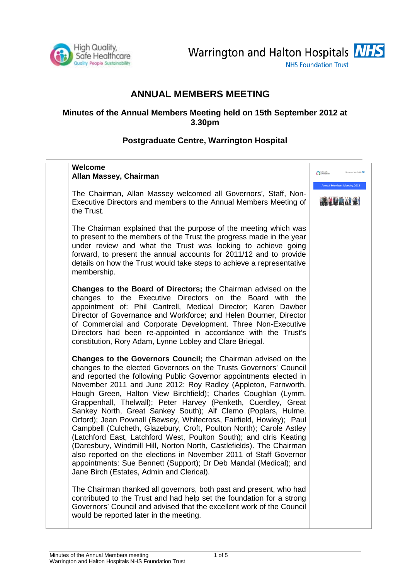

Warrington and Halton Hospitals **NHS NHS Foundation Trust** 

# **ANNUAL MEMBERS MEETING**

#### **Minutes of the Annual Members Meeting held on 15th September 2012 at 3.30pm**

## **Postgraduate Centre, Warrington Hospital**

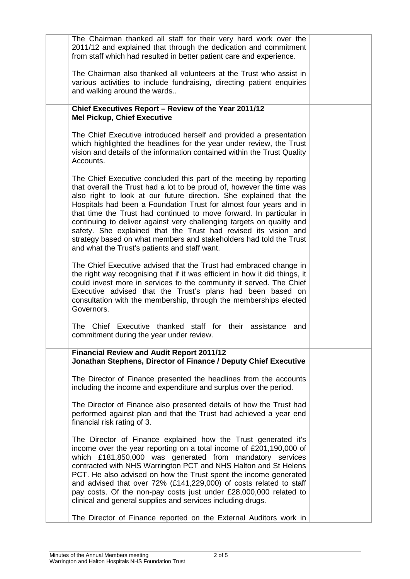| The Chairman thanked all staff for their very hard work over the<br>2011/12 and explained that through the dedication and commitment<br>from staff which had resulted in better patient care and experience.                                                                                                                                                                                                                                                                                                                                                                                                                       |  |
|------------------------------------------------------------------------------------------------------------------------------------------------------------------------------------------------------------------------------------------------------------------------------------------------------------------------------------------------------------------------------------------------------------------------------------------------------------------------------------------------------------------------------------------------------------------------------------------------------------------------------------|--|
| The Chairman also thanked all volunteers at the Trust who assist in<br>various activities to include fundraising, directing patient enquiries<br>and walking around the wards                                                                                                                                                                                                                                                                                                                                                                                                                                                      |  |
| Chief Executives Report - Review of the Year 2011/12<br><b>Mel Pickup, Chief Executive</b>                                                                                                                                                                                                                                                                                                                                                                                                                                                                                                                                         |  |
| The Chief Executive introduced herself and provided a presentation<br>which highlighted the headlines for the year under review, the Trust<br>vision and details of the information contained within the Trust Quality<br>Accounts.                                                                                                                                                                                                                                                                                                                                                                                                |  |
| The Chief Executive concluded this part of the meeting by reporting<br>that overall the Trust had a lot to be proud of, however the time was<br>also right to look at our future direction. She explained that the<br>Hospitals had been a Foundation Trust for almost four years and in<br>that time the Trust had continued to move forward. In particular in<br>continuing to deliver against very challenging targets on quality and<br>safety. She explained that the Trust had revised its vision and<br>strategy based on what members and stakeholders had told the Trust<br>and what the Trust's patients and staff want. |  |
| The Chief Executive advised that the Trust had embraced change in<br>the right way recognising that if it was efficient in how it did things, it<br>could invest more in services to the community it served. The Chief<br>Executive advised that the Trust's plans had been based on<br>consultation with the membership, through the memberships elected<br>Governors.                                                                                                                                                                                                                                                           |  |
| The Chief Executive thanked staff for their assistance and<br>commitment during the year under review.                                                                                                                                                                                                                                                                                                                                                                                                                                                                                                                             |  |
| <b>Financial Review and Audit Report 2011/12</b><br>Jonathan Stephens, Director of Finance / Deputy Chief Executive                                                                                                                                                                                                                                                                                                                                                                                                                                                                                                                |  |
| The Director of Finance presented the headlines from the accounts<br>including the income and expenditure and surplus over the period.                                                                                                                                                                                                                                                                                                                                                                                                                                                                                             |  |
| The Director of Finance also presented details of how the Trust had<br>performed against plan and that the Trust had achieved a year end<br>financial risk rating of 3.                                                                                                                                                                                                                                                                                                                                                                                                                                                            |  |
| The Director of Finance explained how the Trust generated it's<br>income over the year reporting on a total income of £201,190,000 of<br>which £181,850,000 was generated from mandatory services<br>contracted with NHS Warrington PCT and NHS Halton and St Helens<br>PCT. He also advised on how the Trust spent the income generated<br>and advised that over 72% (£141,229,000) of costs related to staff<br>pay costs. Of the non-pay costs just under £28,000,000 related to<br>clinical and general supplies and services including drugs.                                                                                 |  |
| The Director of Finance reported on the External Auditors work in                                                                                                                                                                                                                                                                                                                                                                                                                                                                                                                                                                  |  |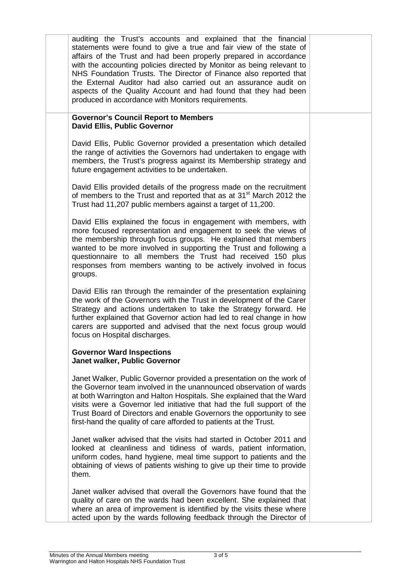| auditing the Trust's accounts and explained that the financial<br>statements were found to give a true and fair view of the state of<br>affairs of the Trust and had been properly prepared in accordance<br>with the accounting policies directed by Monitor as being relevant to<br>NHS Foundation Trusts. The Director of Finance also reported that<br>the External Auditor had also carried out an assurance audit on<br>aspects of the Quality Account and had found that they had been<br>produced in accordance with Monitors requirements. |  |
|-----------------------------------------------------------------------------------------------------------------------------------------------------------------------------------------------------------------------------------------------------------------------------------------------------------------------------------------------------------------------------------------------------------------------------------------------------------------------------------------------------------------------------------------------------|--|
| <b>Governor's Council Report to Members</b><br><b>David Ellis, Public Governor</b>                                                                                                                                                                                                                                                                                                                                                                                                                                                                  |  |
| David Ellis, Public Governor provided a presentation which detailed<br>the range of activities the Governors had undertaken to engage with<br>members, the Trust's progress against its Membership strategy and<br>future engagement activities to be undertaken.                                                                                                                                                                                                                                                                                   |  |
| David Ellis provided details of the progress made on the recruitment<br>of members to the Trust and reported that as at 31 <sup>st</sup> March 2012 the<br>Trust had 11,207 public members against a target of 11,200.                                                                                                                                                                                                                                                                                                                              |  |
| David Ellis explained the focus in engagement with members, with<br>more focused representation and engagement to seek the views of<br>the membership through focus groups. He explained that members<br>wanted to be more involved in supporting the Trust and following a<br>questionnaire to all members the Trust had received 150 plus<br>responses from members wanting to be actively involved in focus<br>groups.                                                                                                                           |  |
| David Ellis ran through the remainder of the presentation explaining<br>the work of the Governors with the Trust in development of the Carer<br>Strategy and actions undertaken to take the Strategy forward. He<br>further explained that Governor action had led to real change in how<br>carers are supported and advised that the next focus group would<br>focus on Hospital discharges.                                                                                                                                                       |  |
| <b>Governor Ward Inspections</b><br>Janet walker, Public Governor                                                                                                                                                                                                                                                                                                                                                                                                                                                                                   |  |
| Janet Walker, Public Governor provided a presentation on the work of<br>the Governor team involved in the unannounced observation of wards<br>at both Warrington and Halton Hospitals. She explained that the Ward<br>visits were a Governor led initiative that had the full support of the<br>Trust Board of Directors and enable Governors the opportunity to see<br>first-hand the quality of care afforded to patients at the Trust.                                                                                                           |  |
| Janet walker advised that the visits had started in October 2011 and<br>looked at cleanliness and tidiness of wards, patient information,<br>uniform codes, hand hygiene, meal time support to patients and the<br>obtaining of views of patients wishing to give up their time to provide<br>them.                                                                                                                                                                                                                                                 |  |
| Janet walker advised that overall the Governors have found that the<br>quality of care on the wards had been excellent. She explained that<br>where an area of improvement is identified by the visits these where<br>acted upon by the wards following feedback through the Director of                                                                                                                                                                                                                                                            |  |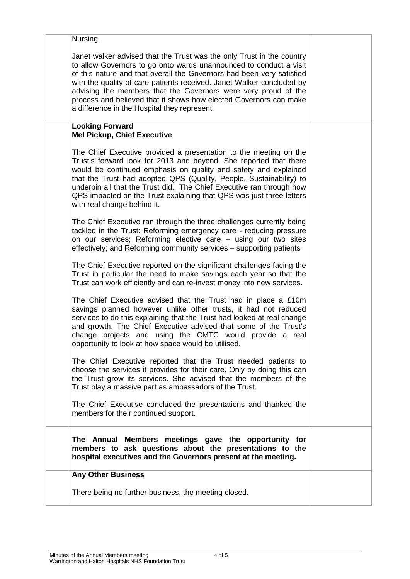| Nursing.                                                                                                                                                                                                                                                                                                                                                                                                                                                                             |  |
|--------------------------------------------------------------------------------------------------------------------------------------------------------------------------------------------------------------------------------------------------------------------------------------------------------------------------------------------------------------------------------------------------------------------------------------------------------------------------------------|--|
| Janet walker advised that the Trust was the only Trust in the country<br>to allow Governors to go onto wards unannounced to conduct a visit<br>of this nature and that overall the Governors had been very satisfied<br>with the quality of care patients received. Janet Walker concluded by<br>advising the members that the Governors were very proud of the<br>process and believed that it shows how elected Governors can make<br>a difference in the Hospital they represent. |  |
| <b>Looking Forward</b><br><b>Mel Pickup, Chief Executive</b>                                                                                                                                                                                                                                                                                                                                                                                                                         |  |
| The Chief Executive provided a presentation to the meeting on the<br>Trust's forward look for 2013 and beyond. She reported that there<br>would be continued emphasis on quality and safety and explained<br>that the Trust had adopted QPS (Quality, People, Sustainability) to<br>underpin all that the Trust did. The Chief Executive ran through how<br>QPS impacted on the Trust explaining that QPS was just three letters<br>with real change behind it.                      |  |
| The Chief Executive ran through the three challenges currently being<br>tackled in the Trust: Reforming emergency care - reducing pressure<br>on our services; Reforming elective care - using our two sites<br>effectively; and Reforming community services - supporting patients                                                                                                                                                                                                  |  |
| The Chief Executive reported on the significant challenges facing the<br>Trust in particular the need to make savings each year so that the<br>Trust can work efficiently and can re-invest money into new services.                                                                                                                                                                                                                                                                 |  |
| The Chief Executive advised that the Trust had in place a £10m<br>savings planned however unlike other trusts, it had not reduced<br>services to do this explaining that the Trust had looked at real change<br>and growth. The Chief Executive advised that some of the Trust's<br>change projects and using the CMTC would provide a real<br>opportunity to look at how space would be utilised.                                                                                   |  |
| The Chief Executive reported that the Trust needed patients to<br>choose the services it provides for their care. Only by doing this can<br>the Trust grow its services. She advised that the members of the<br>Trust play a massive part as ambassadors of the Trust.                                                                                                                                                                                                               |  |
| The Chief Executive concluded the presentations and thanked the<br>members for their continued support.                                                                                                                                                                                                                                                                                                                                                                              |  |
| The Annual Members meetings gave the opportunity for<br>members to ask questions about the presentations to the<br>hospital executives and the Governors present at the meeting.                                                                                                                                                                                                                                                                                                     |  |
| <b>Any Other Business</b>                                                                                                                                                                                                                                                                                                                                                                                                                                                            |  |
| There being no further business, the meeting closed.                                                                                                                                                                                                                                                                                                                                                                                                                                 |  |